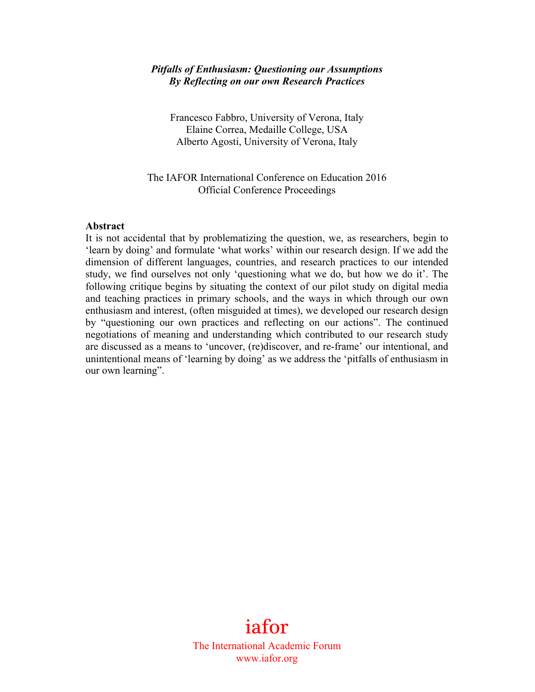### *Pitfalls of Enthusiasm: Questioning our Assumptions By Reflecting on our own Research Practices*

Francesco Fabbro, University of Verona, Italy Elaine Correa, Medaille College, USA Alberto Agosti, University of Verona, Italy

## The IAFOR International Conference on Education 2016 Official Conference Proceedings

### **Abstract**

It is not accidental that by problematizing the question, we, as researchers, begin to 'learn by doing' and formulate 'what works' within our research design. If we add the dimension of different languages, countries, and research practices to our intended study, we find ourselves not only 'questioning what we do, but how we do it'. The following critique begins by situating the context of our pilot study on digital media and teaching practices in primary schools, and the ways in which through our own enthusiasm and interest, (often misguided at times), we developed our research design by "questioning our own practices and reflecting on our actions". The continued negotiations of meaning and understanding which contributed to our research study are discussed as a means to 'uncover, (re)discover, and re-frame' our intentional, and unintentional means of 'learning by doing' as we address the 'pitfalls of enthusiasm in our own learning".

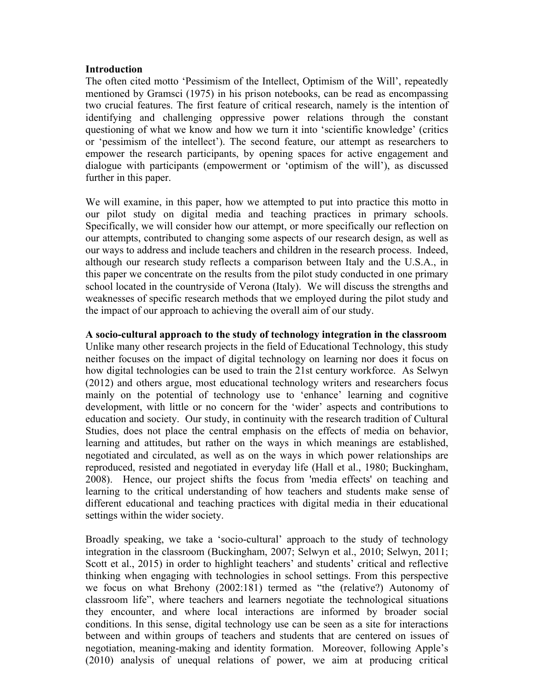### **Introduction**

The often cited motto 'Pessimism of the Intellect, Optimism of the Will', repeatedly mentioned by Gramsci (1975) in his prison notebooks, can be read as encompassing two crucial features. The first feature of critical research, namely is the intention of identifying and challenging oppressive power relations through the constant questioning of what we know and how we turn it into 'scientific knowledge' (critics or 'pessimism of the intellect'). The second feature, our attempt as researchers to empower the research participants, by opening spaces for active engagement and dialogue with participants (empowerment or 'optimism of the will'), as discussed further in this paper.

We will examine, in this paper, how we attempted to put into practice this motto in our pilot study on digital media and teaching practices in primary schools. Specifically, we will consider how our attempt, or more specifically our reflection on our attempts, contributed to changing some aspects of our research design, as well as our ways to address and include teachers and children in the research process. Indeed, although our research study reflects a comparison between Italy and the U.S.A., in this paper we concentrate on the results from the pilot study conducted in one primary school located in the countryside of Verona (Italy). We will discuss the strengths and weaknesses of specific research methods that we employed during the pilot study and the impact of our approach to achieving the overall aim of our study.

## **A socio-cultural approach to the study of technology integration in the classroom**

Unlike many other research projects in the field of Educational Technology, this study neither focuses on the impact of digital technology on learning nor does it focus on how digital technologies can be used to train the 21st century workforce. As Selwyn (2012) and others argue, most educational technology writers and researchers focus mainly on the potential of technology use to 'enhance' learning and cognitive development, with little or no concern for the 'wider' aspects and contributions to education and society. Our study, in continuity with the research tradition of Cultural Studies, does not place the central emphasis on the effects of media on behavior, learning and attitudes, but rather on the ways in which meanings are established, negotiated and circulated, as well as on the ways in which power relationships are reproduced, resisted and negotiated in everyday life (Hall et al., 1980; Buckingham, 2008). Hence, our project shifts the focus from 'media effects' on teaching and learning to the critical understanding of how teachers and students make sense of different educational and teaching practices with digital media in their educational settings within the wider society.

Broadly speaking, we take a 'socio-cultural' approach to the study of technology integration in the classroom (Buckingham, 2007; Selwyn et al., 2010; Selwyn, 2011; Scott et al., 2015) in order to highlight teachers' and students' critical and reflective thinking when engaging with technologies in school settings. From this perspective we focus on what Brehony (2002:181) termed as "the (relative?) Autonomy of classroom life", where teachers and learners negotiate the technological situations they encounter, and where local interactions are informed by broader social conditions. In this sense, digital technology use can be seen as a site for interactions between and within groups of teachers and students that are centered on issues of negotiation, meaning-making and identity formation. Moreover, following Apple's (2010) analysis of unequal relations of power, we aim at producing critical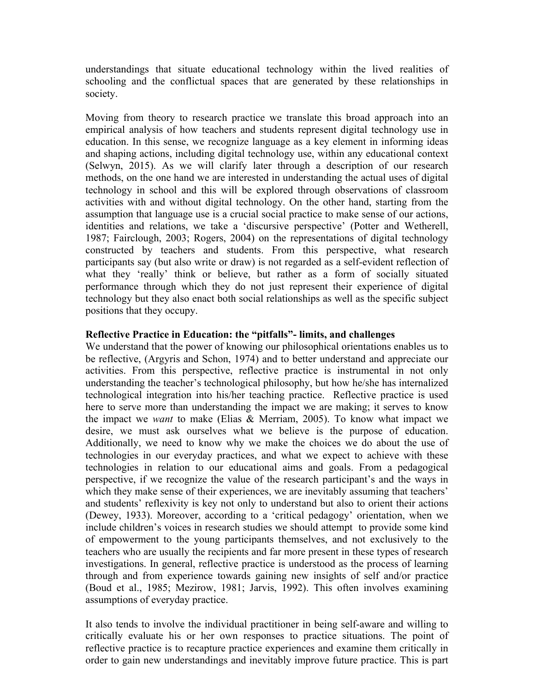understandings that situate educational technology within the lived realities of schooling and the conflictual spaces that are generated by these relationships in society.

Moving from theory to research practice we translate this broad approach into an empirical analysis of how teachers and students represent digital technology use in education. In this sense, we recognize language as a key element in informing ideas and shaping actions, including digital technology use, within any educational context (Selwyn, 2015). As we will clarify later through a description of our research methods, on the one hand we are interested in understanding the actual uses of digital technology in school and this will be explored through observations of classroom activities with and without digital technology. On the other hand, starting from the assumption that language use is a crucial social practice to make sense of our actions, identities and relations, we take a 'discursive perspective' (Potter and Wetherell, 1987; Fairclough, 2003; Rogers, 2004) on the representations of digital technology constructed by teachers and students. From this perspective, what research participants say (but also write or draw) is not regarded as a self-evident reflection of what they 'really' think or believe, but rather as a form of socially situated performance through which they do not just represent their experience of digital technology but they also enact both social relationships as well as the specific subject positions that they occupy.

# **Reflective Practice in Education: the "pitfalls"- limits, and challenges**

We understand that the power of knowing our philosophical orientations enables us to be reflective, (Argyris and Schon, 1974) and to better understand and appreciate our activities. From this perspective, reflective practice is instrumental in not only understanding the teacher's technological philosophy, but how he/she has internalized technological integration into his/her teaching practice. Reflective practice is used here to serve more than understanding the impact we are making; it serves to know the impact we *want* to make (Elias & Merriam, 2005). To know what impact we desire, we must ask ourselves what we believe is the purpose of education. Additionally, we need to know why we make the choices we do about the use of technologies in our everyday practices, and what we expect to achieve with these technologies in relation to our educational aims and goals. From a pedagogical perspective, if we recognize the value of the research participant's and the ways in which they make sense of their experiences, we are inevitably assuming that teachers' and students' reflexivity is key not only to understand but also to orient their actions (Dewey, 1933). Moreover, according to a 'critical pedagogy' orientation, when we include children's voices in research studies we should attempt to provide some kind of empowerment to the young participants themselves, and not exclusively to the teachers who are usually the recipients and far more present in these types of research investigations. In general, reflective practice is understood as the process of learning through and from experience towards gaining new insights of self and/or practice (Boud et al., 1985; Mezirow, 1981; Jarvis, 1992). This often involves examining assumptions of everyday practice.

It also tends to involve the individual practitioner in being self-aware and willing to critically evaluate his or her own responses to practice situations. The point of reflective practice is to recapture practice experiences and examine them critically in order to gain new understandings and inevitably improve future practice. This is part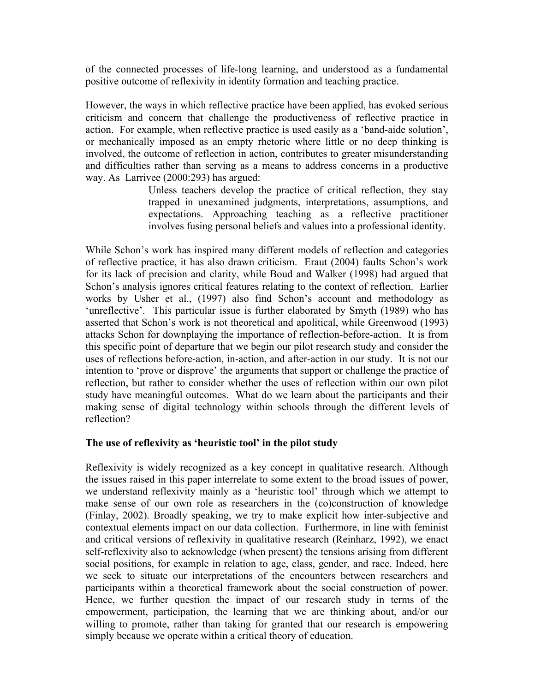of the connected processes of life-long learning, and understood as a fundamental positive outcome of reflexivity in identity formation and teaching practice.

However, the ways in which reflective practice have been applied, has evoked serious criticism and concern that challenge the productiveness of reflective practice in action. For example, when reflective practice is used easily as a 'band-aide solution', or mechanically imposed as an empty rhetoric where little or no deep thinking is involved, the outcome of reflection in action, contributes to greater misunderstanding and difficulties rather than serving as a means to address concerns in a productive way. As Larrivee (2000:293) has argued:

> Unless teachers develop the practice of critical reflection, they stay trapped in unexamined judgments, interpretations, assumptions, and expectations. Approaching teaching as a reflective practitioner involves fusing personal beliefs and values into a professional identity.

While Schon's work has inspired many different models of reflection and categories of reflective practice, it has also drawn criticism. Eraut (2004) faults Schon's work for its lack of precision and clarity, while Boud and Walker (1998) had argued that Schon's analysis ignores critical features relating to the context of reflection. Earlier works by Usher et al., (1997) also find Schon's account and methodology as 'unreflective'. This particular issue is further elaborated by Smyth (1989) who has asserted that Schon's work is not theoretical and apolitical, while Greenwood (1993) attacks Schon for downplaying the importance of reflection-before-action. It is from this specific point of departure that we begin our pilot research study and consider the uses of reflections before-action, in-action, and after-action in our study. It is not our intention to 'prove or disprove' the arguments that support or challenge the practice of reflection, but rather to consider whether the uses of reflection within our own pilot study have meaningful outcomes. What do we learn about the participants and their making sense of digital technology within schools through the different levels of reflection?

# **The use of reflexivity as 'heuristic tool' in the pilot study**

Reflexivity is widely recognized as a key concept in qualitative research. Although the issues raised in this paper interrelate to some extent to the broad issues of power, we understand reflexivity mainly as a 'heuristic tool' through which we attempt to make sense of our own role as researchers in the (co)construction of knowledge (Finlay, 2002). Broadly speaking, we try to make explicit how inter-subjective and contextual elements impact on our data collection. Furthermore, in line with feminist and critical versions of reflexivity in qualitative research (Reinharz, 1992), we enact self-reflexivity also to acknowledge (when present) the tensions arising from different social positions, for example in relation to age, class, gender, and race. Indeed, here we seek to situate our interpretations of the encounters between researchers and participants within a theoretical framework about the social construction of power. Hence, we further question the impact of our research study in terms of the empowerment, participation, the learning that we are thinking about, and/or our willing to promote, rather than taking for granted that our research is empowering simply because we operate within a critical theory of education.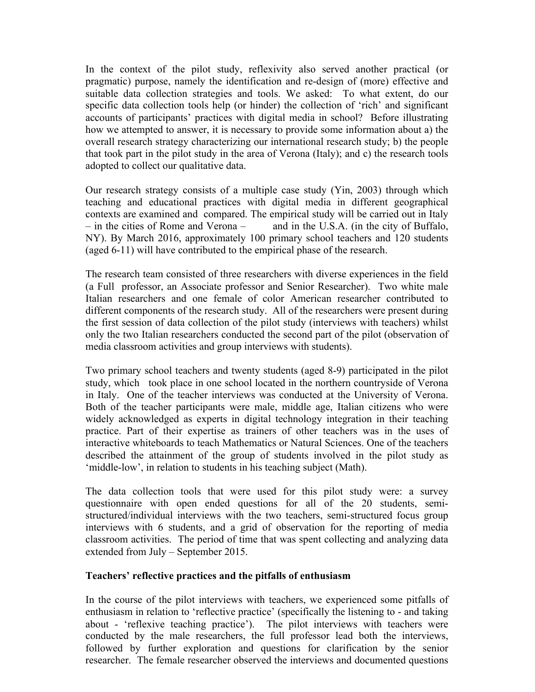In the context of the pilot study, reflexivity also served another practical (or pragmatic) purpose, namely the identification and re-design of (more) effective and suitable data collection strategies and tools. We asked: To what extent, do our specific data collection tools help (or hinder) the collection of 'rich' and significant accounts of participants' practices with digital media in school? Before illustrating how we attempted to answer, it is necessary to provide some information about a) the overall research strategy characterizing our international research study; b) the people that took part in the pilot study in the area of Verona (Italy); and c) the research tools adopted to collect our qualitative data.

Our research strategy consists of a multiple case study (Yin, 2003) through which teaching and educational practices with digital media in different geographical contexts are examined and compared. The empirical study will be carried out in Italy – in the cities of Rome and Verona – and in the U.S.A. (in the city of Buffalo, NY). By March 2016, approximately 100 primary school teachers and 120 students (aged 6-11) will have contributed to the empirical phase of the research.

The research team consisted of three researchers with diverse experiences in the field (a Full professor, an Associate professor and Senior Researcher). Two white male Italian researchers and one female of color American researcher contributed to different components of the research study. All of the researchers were present during the first session of data collection of the pilot study (interviews with teachers) whilst only the two Italian researchers conducted the second part of the pilot (observation of media classroom activities and group interviews with students).

Two primary school teachers and twenty students (aged 8-9) participated in the pilot study, which took place in one school located in the northern countryside of Verona in Italy. One of the teacher interviews was conducted at the University of Verona. Both of the teacher participants were male, middle age, Italian citizens who were widely acknowledged as experts in digital technology integration in their teaching practice. Part of their expertise as trainers of other teachers was in the uses of interactive whiteboards to teach Mathematics or Natural Sciences. One of the teachers described the attainment of the group of students involved in the pilot study as 'middle-low', in relation to students in his teaching subject (Math).

The data collection tools that were used for this pilot study were: a survey questionnaire with open ended questions for all of the 20 students, semistructured/individual interviews with the two teachers, semi-structured focus group interviews with 6 students, and a grid of observation for the reporting of media classroom activities. The period of time that was spent collecting and analyzing data extended from July – September 2015.

## **Teachers' reflective practices and the pitfalls of enthusiasm**

In the course of the pilot interviews with teachers, we experienced some pitfalls of enthusiasm in relation to 'reflective practice' (specifically the listening to - and taking about - 'reflexive teaching practice'). The pilot interviews with teachers were conducted by the male researchers, the full professor lead both the interviews, followed by further exploration and questions for clarification by the senior researcher. The female researcher observed the interviews and documented questions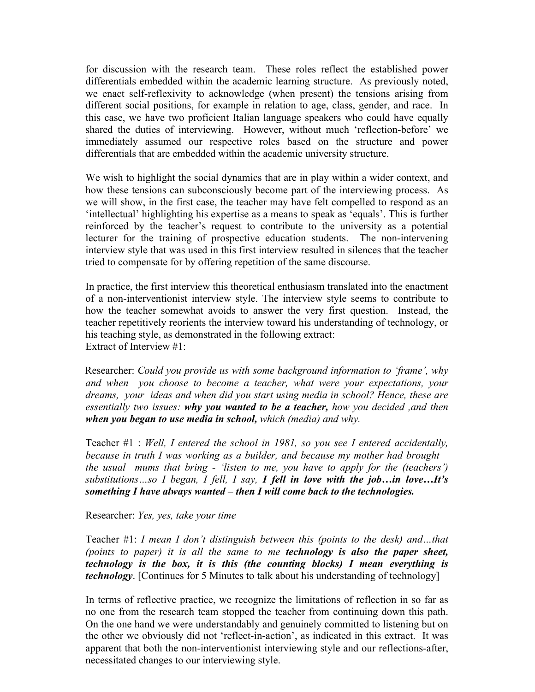for discussion with the research team. These roles reflect the established power differentials embedded within the academic learning structure. As previously noted, we enact self-reflexivity to acknowledge (when present) the tensions arising from different social positions, for example in relation to age, class, gender, and race. In this case, we have two proficient Italian language speakers who could have equally shared the duties of interviewing. However, without much 'reflection-before' we immediately assumed our respective roles based on the structure and power differentials that are embedded within the academic university structure.

We wish to highlight the social dynamics that are in play within a wider context, and how these tensions can subconsciously become part of the interviewing process. As we will show, in the first case, the teacher may have felt compelled to respond as an 'intellectual' highlighting his expertise as a means to speak as 'equals'. This is further reinforced by the teacher's request to contribute to the university as a potential lecturer for the training of prospective education students. The non-intervening interview style that was used in this first interview resulted in silences that the teacher tried to compensate for by offering repetition of the same discourse.

In practice, the first interview this theoretical enthusiasm translated into the enactment of a non-interventionist interview style. The interview style seems to contribute to how the teacher somewhat avoids to answer the very first question. Instead, the teacher repetitively reorients the interview toward his understanding of technology, or his teaching style, as demonstrated in the following extract: Extract of Interview #1:

Researcher: *Could you provide us with some background information to 'frame', why and when you choose to become a teacher, what were your expectations, your dreams, your ideas and when did you start using media in school? Hence, these are essentially two issues: why you wanted to be a teacher, how you decided ,and then when you began to use media in school, which (media) and why.*

Teacher #1 : *Well, I entered the school in 1981, so you see I entered accidentally, because in truth I was working as a builder, and because my mother had brought – the usual mums that bring - 'listen to me, you have to apply for the (teachers') substitutions…so I began, I fell, I say, I fell in love with the job…in love…It's something I have always wanted – then I will come back to the technologies.*

Researcher: *Yes, yes, take your time*

Teacher #1: *I mean I don't distinguish between this (points to the desk) and…that (points to paper) it is all the same to me technology is also the paper sheet, technology is the box, it is this (the counting blocks) I mean everything is technology*. [Continues for 5 Minutes to talk about his understanding of technology]

In terms of reflective practice, we recognize the limitations of reflection in so far as no one from the research team stopped the teacher from continuing down this path. On the one hand we were understandably and genuinely committed to listening but on the other we obviously did not 'reflect-in-action', as indicated in this extract. It was apparent that both the non-interventionist interviewing style and our reflections-after, necessitated changes to our interviewing style.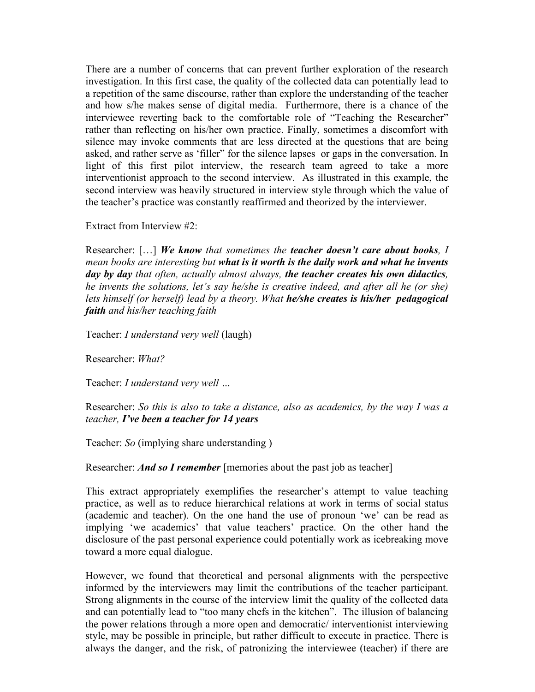There are a number of concerns that can prevent further exploration of the research investigation. In this first case, the quality of the collected data can potentially lead to a repetition of the same discourse, rather than explore the understanding of the teacher and how s/he makes sense of digital media. Furthermore, there is a chance of the interviewee reverting back to the comfortable role of "Teaching the Researcher" rather than reflecting on his/her own practice. Finally, sometimes a discomfort with silence may invoke comments that are less directed at the questions that are being asked, and rather serve as 'filler" for the silence lapses or gaps in the conversation. In light of this first pilot interview, the research team agreed to take a more interventionist approach to the second interview. As illustrated in this example, the second interview was heavily structured in interview style through which the value of the teacher's practice was constantly reaffirmed and theorized by the interviewer.

Extract from Interview #2:

Researcher: […] *We know that sometimes the teacher doesn't care about books, I mean books are interesting but what is it worth is the daily work and what he invents day by day that often, actually almost always, the teacher creates his own didactics, he invents the solutions, let's say he/she is creative indeed, and after all he (or she) lets himself (or herself) lead by a theory. What he/she creates is his/her pedagogical faith and his/her teaching faith*

Teacher: *I understand very well* (laugh)

Researcher: *What?*

Teacher: *I understand very well …*

Researcher: *So this is also to take a distance, also as academics, by the way I was a teacher, I've been a teacher for 14 years*

Teacher: *So* (implying share understanding )

Researcher: *And so I remember* [memories about the past job as teacher]

This extract appropriately exemplifies the researcher's attempt to value teaching practice, as well as to reduce hierarchical relations at work in terms of social status (academic and teacher). On the one hand the use of pronoun 'we' can be read as implying 'we academics' that value teachers' practice. On the other hand the disclosure of the past personal experience could potentially work as icebreaking move toward a more equal dialogue.

However, we found that theoretical and personal alignments with the perspective informed by the interviewers may limit the contributions of the teacher participant. Strong alignments in the course of the interview limit the quality of the collected data and can potentially lead to "too many chefs in the kitchen". The illusion of balancing the power relations through a more open and democratic/ interventionist interviewing style, may be possible in principle, but rather difficult to execute in practice. There is always the danger, and the risk, of patronizing the interviewee (teacher) if there are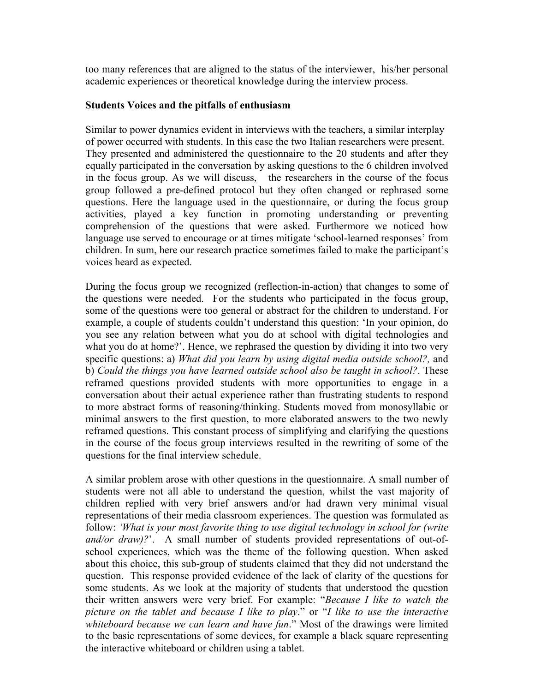too many references that are aligned to the status of the interviewer, his/her personal academic experiences or theoretical knowledge during the interview process.

# **Students Voices and the pitfalls of enthusiasm**

Similar to power dynamics evident in interviews with the teachers, a similar interplay of power occurred with students. In this case the two Italian researchers were present. They presented and administered the questionnaire to the 20 students and after they equally participated in the conversation by asking questions to the 6 children involved in the focus group. As we will discuss, the researchers in the course of the focus group followed a pre-defined protocol but they often changed or rephrased some questions. Here the language used in the questionnaire, or during the focus group activities, played a key function in promoting understanding or preventing comprehension of the questions that were asked. Furthermore we noticed how language use served to encourage or at times mitigate 'school-learned responses' from children. In sum, here our research practice sometimes failed to make the participant's voices heard as expected.

During the focus group we recognized (reflection-in-action) that changes to some of the questions were needed. For the students who participated in the focus group, some of the questions were too general or abstract for the children to understand. For example, a couple of students couldn't understand this question: 'In your opinion, do you see any relation between what you do at school with digital technologies and what you do at home?'. Hence, we rephrased the question by dividing it into two very specific questions: a) *What did you learn by using digital media outside school?,* and b) *Could the things you have learned outside school also be taught in school?*. These reframed questions provided students with more opportunities to engage in a conversation about their actual experience rather than frustrating students to respond to more abstract forms of reasoning/thinking. Students moved from monosyllabic or minimal answers to the first question, to more elaborated answers to the two newly reframed questions. This constant process of simplifying and clarifying the questions in the course of the focus group interviews resulted in the rewriting of some of the questions for the final interview schedule.

A similar problem arose with other questions in the questionnaire. A small number of students were not all able to understand the question, whilst the vast majority of children replied with very brief answers and/or had drawn very minimal visual representations of their media classroom experiences. The question was formulated as follow: *'What is your most favorite thing to use digital technology in school for (write and/or draw)?*'. A small number of students provided representations of out-ofschool experiences, which was the theme of the following question. When asked about this choice, this sub-group of students claimed that they did not understand the question. This response provided evidence of the lack of clarity of the questions for some students. As we look at the majority of students that understood the question their written answers were very brief. For example: "*Because I like to watch the picture on the tablet and because I like to play*." or "*I like to use the interactive whiteboard because we can learn and have fun*." Most of the drawings were limited to the basic representations of some devices, for example a black square representing the interactive whiteboard or children using a tablet.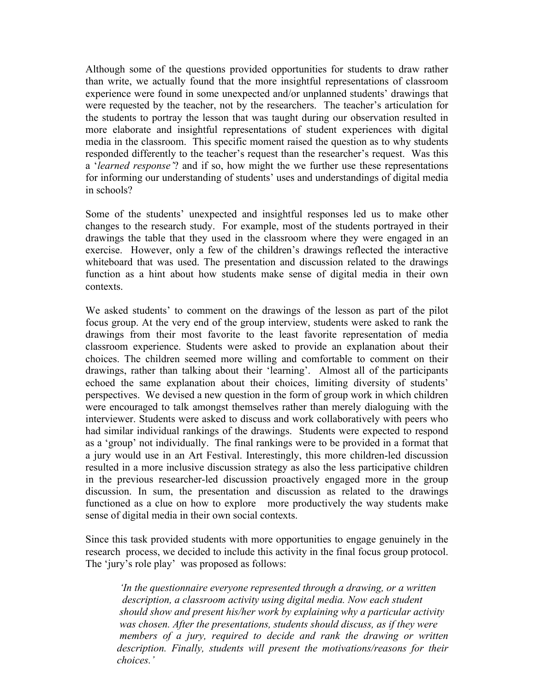Although some of the questions provided opportunities for students to draw rather than write, we actually found that the more insightful representations of classroom experience were found in some unexpected and/or unplanned students' drawings that were requested by the teacher, not by the researchers. The teacher's articulation for the students to portray the lesson that was taught during our observation resulted in more elaborate and insightful representations of student experiences with digital media in the classroom. This specific moment raised the question as to why students responded differently to the teacher's request than the researcher's request. Was this a '*learned response'*? and if so, how might the we further use these representations for informing our understanding of students' uses and understandings of digital media in schools?

Some of the students' unexpected and insightful responses led us to make other changes to the research study. For example, most of the students portrayed in their drawings the table that they used in the classroom where they were engaged in an exercise. However, only a few of the children's drawings reflected the interactive whiteboard that was used. The presentation and discussion related to the drawings function as a hint about how students make sense of digital media in their own contexts.

We asked students' to comment on the drawings of the lesson as part of the pilot focus group. At the very end of the group interview, students were asked to rank the drawings from their most favorite to the least favorite representation of media classroom experience. Students were asked to provide an explanation about their choices. The children seemed more willing and comfortable to comment on their drawings, rather than talking about their 'learning'. Almost all of the participants echoed the same explanation about their choices, limiting diversity of students' perspectives. We devised a new question in the form of group work in which children were encouraged to talk amongst themselves rather than merely dialoguing with the interviewer. Students were asked to discuss and work collaboratively with peers who had similar individual rankings of the drawings. Students were expected to respond as a 'group' not individually. The final rankings were to be provided in a format that a jury would use in an Art Festival. Interestingly, this more children-led discussion resulted in a more inclusive discussion strategy as also the less participative children in the previous researcher-led discussion proactively engaged more in the group discussion. In sum, the presentation and discussion as related to the drawings functioned as a clue on how to explore more productively the way students make sense of digital media in their own social contexts.

Since this task provided students with more opportunities to engage genuinely in the research process, we decided to include this activity in the final focus group protocol. The 'jury's role play' was proposed as follows:

*'In the questionnaire everyone represented through a drawing, or a written description, a classroom activity using digital media. Now each student should show and present his/her work by explaining why a particular activity was chosen. After the presentations, students should discuss, as if they were members of a jury, required to decide and rank the drawing or written description. Finally, students will present the motivations/reasons for their choices.'*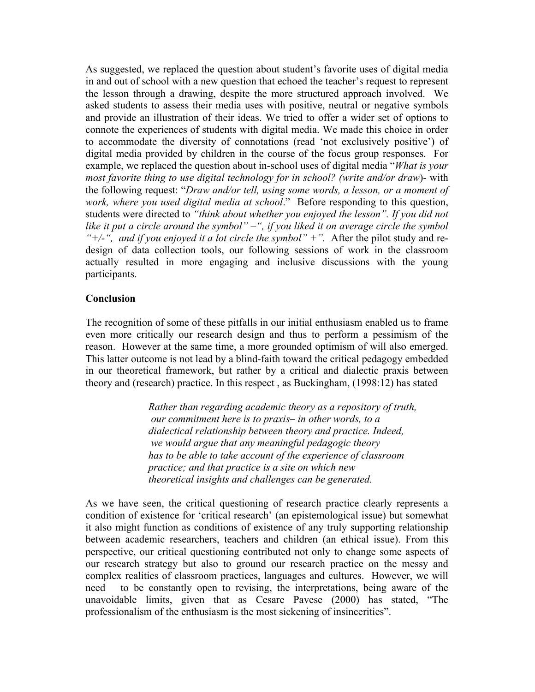As suggested, we replaced the question about student's favorite uses of digital media in and out of school with a new question that echoed the teacher's request to represent the lesson through a drawing, despite the more structured approach involved. We asked students to assess their media uses with positive, neutral or negative symbols and provide an illustration of their ideas. We tried to offer a wider set of options to connote the experiences of students with digital media. We made this choice in order to accommodate the diversity of connotations (read 'not exclusively positive') of digital media provided by children in the course of the focus group responses. For example, we replaced the question about in-school uses of digital media "*What is your most favorite thing to use digital technology for in school? (write and/or draw*)- with the following request: "*Draw and/or tell, using some words, a lesson, or a moment of work, where you used digital media at school*." Before responding to this question, students were directed to *"think about whether you enjoyed the lesson". If you did not like it put a circle around the symbol" –", if you liked it on average circle the symbol "+/-", and if you enjoyed it a lot circle the symbol" +".* After the pilot study and redesign of data collection tools, our following sessions of work in the classroom actually resulted in more engaging and inclusive discussions with the young participants.

### **Conclusion**

The recognition of some of these pitfalls in our initial enthusiasm enabled us to frame even more critically our research design and thus to perform a pessimism of the reason. However at the same time, a more grounded optimism of will also emerged. This latter outcome is not lead by a blind-faith toward the critical pedagogy embedded in our theoretical framework, but rather by a critical and dialectic praxis between theory and (research) practice. In this respect , as Buckingham, (1998:12) has stated

> *Rather than regarding academic theory as a repository of truth, our commitment here is to praxis– in other words, to a dialectical relationship between theory and practice. Indeed, we would argue that any meaningful pedagogic theory has to be able to take account of the experience of classroom practice; and that practice is a site on which new theoretical insights and challenges can be generated.*

As we have seen, the critical questioning of research practice clearly represents a condition of existence for 'critical research' (an epistemological issue) but somewhat it also might function as conditions of existence of any truly supporting relationship between academic researchers, teachers and children (an ethical issue). From this perspective, our critical questioning contributed not only to change some aspects of our research strategy but also to ground our research practice on the messy and complex realities of classroom practices, languages and cultures. However, we will need to be constantly open to revising, the interpretations, being aware of the unavoidable limits, given that as Cesare Pavese (2000) has stated, "The professionalism of the enthusiasm is the most sickening of insincerities".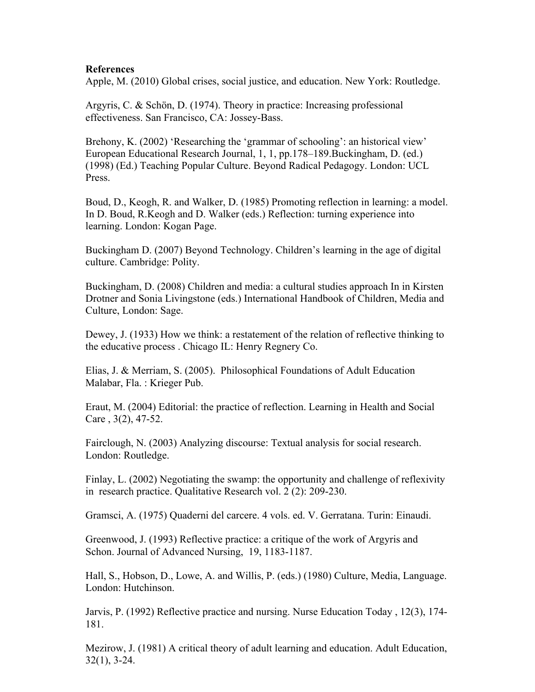# **References**

Apple, M. (2010) Global crises, social justice, and education. New York: Routledge.

Argyris, C. & Schön, D. (1974). Theory in practice: Increasing professional effectiveness. San Francisco, CA: Jossey-Bass.

Brehony, K. (2002) 'Researching the 'grammar of schooling': an historical view' European Educational Research Journal, 1, 1, pp.178–189.Buckingham, D. (ed.) (1998) (Ed.) Teaching Popular Culture. Beyond Radical Pedagogy. London: UCL Press.

Boud, D., Keogh, R. and Walker, D. (1985) Promoting reflection in learning: a model. In D. Boud, R.Keogh and D. Walker (eds.) Reflection: turning experience into learning. London: Kogan Page.

Buckingham D. (2007) Beyond Technology. Children's learning in the age of digital culture. Cambridge: Polity.

Buckingham, D. (2008) Children and media: a cultural studies approach In in Kirsten Drotner and Sonia Livingstone (eds.) International Handbook of Children, Media and Culture, London: Sage.

Dewey, J. (1933) How we think: a restatement of the relation of reflective thinking to the educative process . Chicago IL: Henry Regnery Co.

Elias, J. & Merriam, S. (2005). Philosophical Foundations of Adult Education Malabar, Fla. : Krieger Pub.

Eraut, M. (2004) Editorial: the practice of reflection. Learning in Health and Social Care , 3(2), 47-52.

Fairclough, N. (2003) Analyzing discourse: Textual analysis for social research. London: Routledge.

Finlay, L. (2002) Negotiating the swamp: the opportunity and challenge of reflexivity in research practice. Qualitative Research vol. 2 (2): 209-230.

Gramsci, A. (1975) Quaderni del carcere. 4 vols. ed. V. Gerratana. Turin: Einaudi.

Greenwood, J. (1993) Reflective practice: a critique of the work of Argyris and Schon. Journal of Advanced Nursing, 19, 1183-1187.

Hall, S., Hobson, D., Lowe, A. and Willis, P. (eds.) (1980) Culture, Media, Language. London: Hutchinson.

Jarvis, P. (1992) Reflective practice and nursing. Nurse Education Today , 12(3), 174- 181.

Mezirow, J. (1981) A critical theory of adult learning and education. Adult Education, 32(1), 3-24.